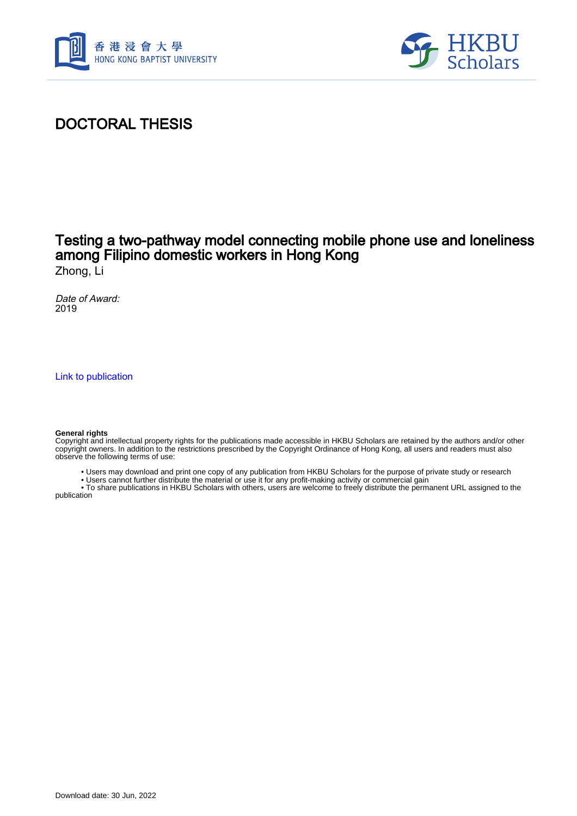



## DOCTORAL THESIS

# Testing a two-pathway model connecting mobile phone use and loneliness among Filipino domestic workers in Hong Kong

Zhong, Li

Date of Award: 2019

[Link to publication](https://scholars.hkbu.edu.hk/en/studentTheses/5a8f97d8-249e-4ca9-92ab-6233b97cfa7a)

#### **General rights**

Copyright and intellectual property rights for the publications made accessible in HKBU Scholars are retained by the authors and/or other copyright owners. In addition to the restrictions prescribed by the Copyright Ordinance of Hong Kong, all users and readers must also observe the following terms of use:

- Users may download and print one copy of any publication from HKBU Scholars for the purpose of private study or research
- Users cannot further distribute the material or use it for any profit-making activity or commercial gain

 • To share publications in HKBU Scholars with others, users are welcome to freely distribute the permanent URL assigned to the publication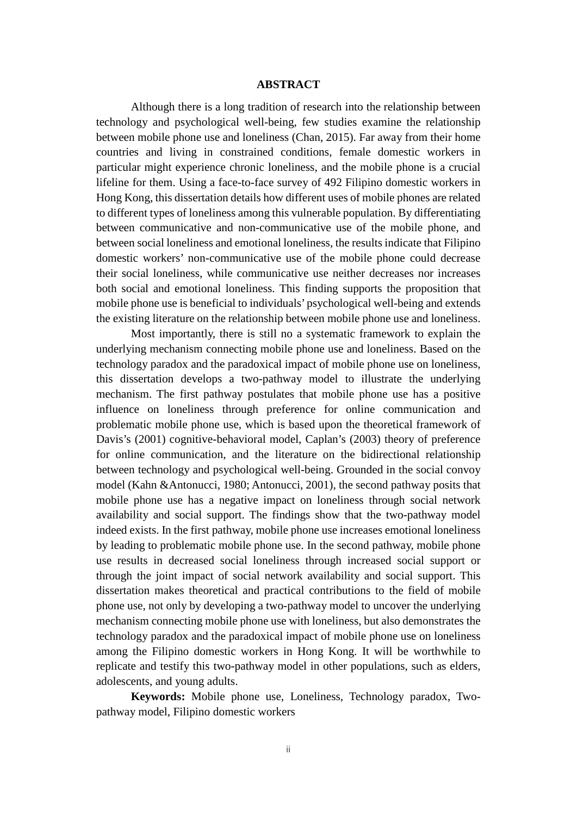### **ABSTRACT**

<span id="page-1-0"></span>Although there is a long tradition of research into the relationship between technology and psychological well-being, few studies examine the relationship between mobile phone use and loneliness (Chan, 2015). Far away from their home countries and living in constrained conditions, female domestic workers in particular might experience chronic loneliness, and the mobile phone is a crucial lifeline for them. Using a face-to-face survey of 492 Filipino domestic workers in Hong Kong, this dissertation details how different uses of mobile phones are related to different types of loneliness among this vulnerable population. By differentiating between communicative and non-communicative use of the mobile phone, and between social loneliness and emotional loneliness, the results indicate that Filipino domestic workers' non-communicative use of the mobile phone could decrease their social loneliness, while communicative use neither decreases nor increases both social and emotional loneliness. This finding supports the proposition that mobile phone use is beneficial to individuals' psychological well-being and extends the existing literature on the relationship between mobile phone use and loneliness.

Most importantly, there is still no a systematic framework to explain the underlying mechanism connecting mobile phone use and loneliness. Based on the technology paradox and the paradoxical impact of mobile phone use on loneliness, this dissertation develops a two-pathway model to illustrate the underlying mechanism. The first pathway postulates that mobile phone use has a positive influence on loneliness through preference for online communication and problematic mobile phone use, which is based upon the theoretical framework of Davis's (2001) cognitive-behavioral model, Caplan's (2003) theory of preference for online communication, and the literature on the bidirectional relationship between technology and psychological well-being. Grounded in the social convoy model (Kahn &Antonucci, 1980; Antonucci, 2001), the second pathway posits that mobile phone use has a negative impact on loneliness through social network availability and social support. The findings show that the two-pathway model indeed exists. In the first pathway, mobile phone use increases emotional loneliness by leading to problematic mobile phone use. In the second pathway, mobile phone use results in decreased social loneliness through increased social support or through the joint impact of social network availability and social support. This dissertation makes theoretical and practical contributions to the field of mobile phone use, not only by developing a two-pathway model to uncover the underlying mechanism connecting mobile phone use with loneliness, but also demonstrates the technology paradox and the paradoxical impact of mobile phone use on loneliness among the Filipino domestic workers in Hong Kong. It will be worthwhile to replicate and testify this two-pathway model in other populations, such as elders, adolescents, and young adults.

**Keywords:** Mobile phone use, Loneliness, Technology paradox, Twopathway model, Filipino domestic workers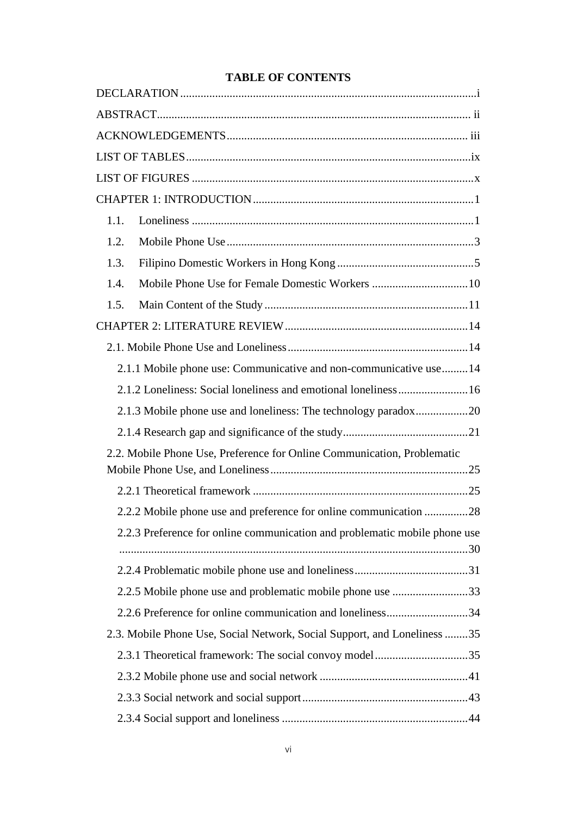### **TABLE OF CONTENTS**